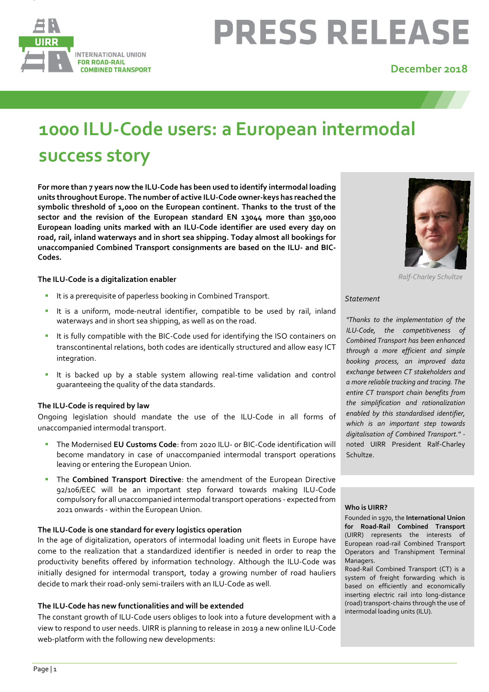

# **PRESS RELEASE**

### **December 2018**

## **1000 ILU-Code users: a European intermodal success story**

**For more than 7 years now the ILU-Code has been used to identify intermodal loading units throughout Europe. The number of active ILU-Code owner-keys has reached the symbolic threshold of 1,000 on the European continent. Thanks to the trust of the sector and the revision of the European standard EN 13044 more than 350,000 European loading units marked with an ILU-Code identifier are used every day on road, rail, inland waterways and in short sea shipping. Today almost all bookings for unaccompanied Combined Transport consignments are based on the ILU- and BIC-Codes.**

#### **The ILU-Code is a digitalization enabler**

- It is a prerequisite of paperless booking in Combined Transport.
- **E** It is a uniform, mode-neutral identifier, compatible to be used by rail, inland waterways and in short sea shipping, as well as on the road.
- **E** It is fully compatible with the BIC-Code used for identifying the ISO containers on transcontinental relations, both codes are identically structured and allow easy ICT integration.
- It is backed up by a stable system allowing real-time validation and control guaranteeing the quality of the data standards.

#### **The ILU-Code is required by law**

Ongoing legislation should mandate the use of the ILU-Code in all forms of unaccompanied intermodal transport.

- The Modernised **EU Customs Code**: from 2020 ILU- or BIC-Code identification will become mandatory in case of unaccompanied intermodal transport operations leaving or entering the European Union.
- The **Combined Transport Directive**: the amendment of the European Directive 92/106/EEC will be an important step forward towards making ILU-Code compulsory for all unaccompanied intermodaltransport operations - expected from 2021 onwards - within the European Union.

#### **The ILU-Code is one standard for every logistics operation**

In the age of digitalization, operators of intermodal loading unit fleets in Europe have come to the realization that a standardized identifier is needed in order to reap the productivity benefits offered by information technology. Although the ILU-Code was initially designed for intermodal transport, today a growing number of road hauliers decide to mark their road-only semi-trailers with an ILU-Code as well.

#### **The ILU-C0de has new functionalities and will be extended**

The constant growth of ILU-Code users obliges to look into a future development with a view to respond to user needs. UIRR is planning to release in 2019 a new online ILU-Code web-platform with the following new developments:



*Ralf-Charley Schultze*

#### *Statement*

*"Thanks to the implementation of the ILU-Code, the competitiveness of Combined Transport has been enhanced through a more efficient and simple booking process, an improved data exchange between CT stakeholders and a more reliable tracking and tracing. The entire CT transport chain benefits from the simplification and rationalization enabled by this standardised identifier, which is an important step towards digitalisation of Combined Transport."*  noted UIRR President Ralf-Charley Schultze.

#### **Who is UIRR?**

Founded in 1970, the **International Union for Road-Rail Combined Transport**  (UIRR) represents the interests of European road-rail Combined Transport Operators and Transhipment Terminal Managers.

Road-Rail Combined Transport (CT) is a system of freight forwarding which is based on efficiently and economically inserting electric rail into long-distance (road) transport-chains through the use of intermodal loading units (ILU).